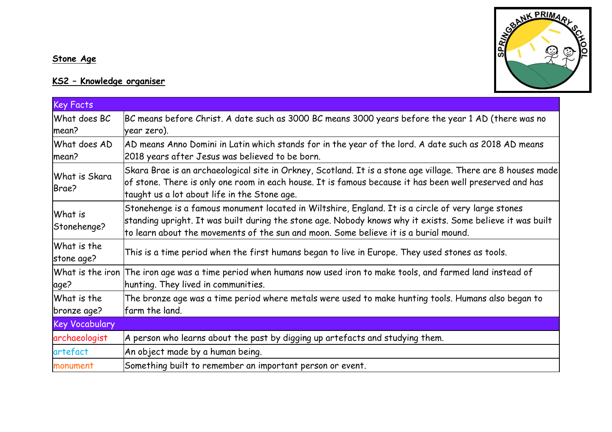## **Stone Age**

## **KS2 – Knowledge organiser**



| Key Facts                  |                                                                                                                                                                                                                                                                                                          |
|----------------------------|----------------------------------------------------------------------------------------------------------------------------------------------------------------------------------------------------------------------------------------------------------------------------------------------------------|
| What does BC<br>mean?      | BC means before Christ. A date such as 3000 BC means 3000 years before the year 1 AD (there was no<br>year zero).                                                                                                                                                                                        |
| What does AD<br>mean?      | AD means Anno Domini in Latin which stands for in the year of the lord. A date such as 2018 AD means<br>2018 years after Jesus was believed to be born.                                                                                                                                                  |
| What is Skara<br>Brae?     | Skara Brae is an archaeological site in Orkney, Scotland. It is a stone age village. There are 8 houses made <br>of stone. There is only one room in each house. It is famous because it has been well preserved and has<br>taught us a lot about life in the Stone age.                                 |
| What is<br>Stonehenge?     | Stonehenge is a famous monument located in Wiltshire, England. It is a circle of very large stones<br>standing upright. It was built during the stone age. Nobody knows why it exists. Some believe it was built<br>to learn about the movements of the sun and moon. Some believe it is a burial mound. |
| What is the<br>stone age?  | This is a time period when the first humans began to live in Europe. They used stones as tools.                                                                                                                                                                                                          |
| What is the iron<br>age?   | The iron age was a time period when humans now used iron to make tools, and farmed land instead of<br>hunting. They lived in communities.                                                                                                                                                                |
| What is the<br>bronze age? | The bronze age was a time period where metals were used to make hunting tools. Humans also began to<br>farm the land.                                                                                                                                                                                    |
| <b>Key Vocabulary</b>      |                                                                                                                                                                                                                                                                                                          |
| archaeologist              | A person who learns about the past by digging up artefacts and studying them.                                                                                                                                                                                                                            |
| artefact                   | An object made by a human being.                                                                                                                                                                                                                                                                         |
| monument                   | Something built to remember an important person or event.                                                                                                                                                                                                                                                |